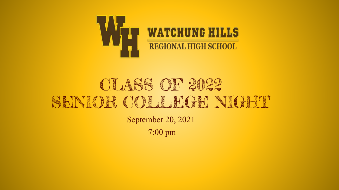

## CLASS OF 2022 SENIOR COLLEGE NIGHT

September 20, 2021 7:00 pm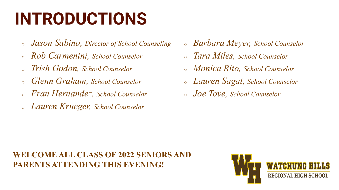## **INTRODUCTIONS**

- *Jason Sabino, Director of School Counseling*
- *Rob Carmenini, School Counselor*
- *Trish Godon, School Counselor*
- *Glenn Graham, School Counselor*
- *Fran Hernandez, School Counselor*
- *Lauren Krueger, School Counselor*
- *Barbara Meyer, School Counselor*
- *Tara Miles, School Counselor*
- *Monica Rito, School Counselor*
- *Lauren Sagat, School Counselor*
- *Joe Toye, School Counselor*

### **WELCOME ALL CLASS OF 2022 SENIORS AND PARENTS ATTENDING THIS EVENING!**

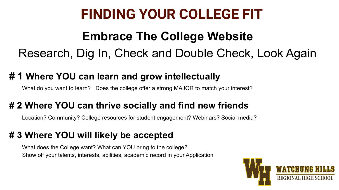### **FINDING YOUR COLLEGE FIT**

### **Embrace The College Website** Research, Dig In, Check and Double Check, Look Again

### **# 1 Where YOU can learn and grow intellectually**

What do you want to learn? Does the college offer a strong MAJOR to match your interest?

### **# 2 Where YOU can thrive socially and find new friends**

Location? Community? College resources for student engagement? Webinars? Social media?

### **# 3 Where YOU will likely be accepted**

What does the College want? What can YOU bring to the college? Show off your talents, interests, abilities, academic record in your Application

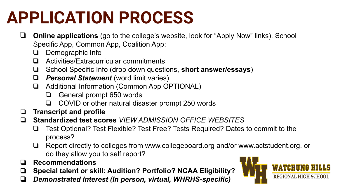## **APPLICATION PROCESS**

- ❏ **Online applications** (go to the college's website, look for "Apply Now" links), School Specific App, Common App, Coalition App:
	- ❏ Demographic Info
	- ❏ Activities/Extracurricular commitments
	- ❏ School Specific Info (drop down questions, **short answer/essays**)
	- ❏ *Personal Statement* (word limit varies)
	- ❏ Additional Information (Common App OPTIONAL)
		- ❏ General prompt 650 words
		- ❏ COVID or other natural disaster prompt 250 words
- ❏ **Transcript and profile**
- ❏ **Standardized test scores** *VIEW ADMISSION OFFICE WEBSITES*
	- ❏ Test Optional? Test Flexible? Test Free? Tests Required? Dates to commit to the process?
	- ❏ Report directly to colleges from www.collegeboard.org and/or www.actstudent.org. or do they allow you to self report?
- ❏ **Recommendations**
- ❏ **Special talent or skill: Audition? Portfolio? NCAA Eligibility?**
- ❏ *Demonstrated Interest (In person, virtual, WHRHS-specific)*

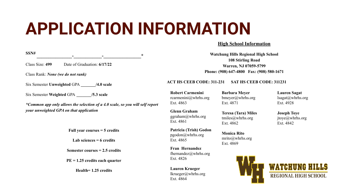## **APPLICATION INFORMATION**

### **High School Information**

| SSN#<br>$\ast$                                                                |                                                         | <b>Watchung Hills Regional High School</b>                  |                                                    |
|-------------------------------------------------------------------------------|---------------------------------------------------------|-------------------------------------------------------------|----------------------------------------------------|
| Class Size: 499<br>Date of Graduation: 6/17/22                                | <b>108 Stirling Road</b><br>Warren, NJ 07059-5799       |                                                             |                                                    |
| Class Rank: <i>None</i> (we do not rank)                                      |                                                         | Phone: (908) 647-4800 Fax: (908) 580-1671                   |                                                    |
| Six Semester Unweighted GPA<br>$/4.0$ scale                                   | <b>ACT HS CEEB CODE: 311-231</b>                        | SAT HS CEEB CODE: 311231                                    |                                                    |
| Six Semester Weighted GPA /5.3 scale                                          | <b>Robert Carmenini</b><br>rcarmenini@whrhs.org         | <b>Barbara Meyer</b><br>$b$ meyer@whrhs.org                 | <b>Lauren Sagat</b><br>lsagat@whrhs.org            |
| *Common app only allows the selection of a 4.0 scale, so you will self report | Ext. 4863                                               | Ext. 4871                                                   | Ext. 4928                                          |
| your unweighted GPA on that application                                       | <b>Glenn Graham</b><br>ggraham@whrhs.org<br>Ext. 4861   | <b>Teresa (Tara) Miles</b><br>tmiles@whrhs.org<br>Ext. 4862 | <b>Joseph Toye</b><br>jtoye@whrhs.org<br>Ext. 4842 |
| Full year courses $=$ 5 credits                                               | Patricia (Trish) Godon<br>pgodon@whrhs.org<br>Ext. 4865 | <b>Monica Rito</b>                                          |                                                    |
| Lab sciences $= 6$ credits                                                    |                                                         | mrito@whrhs.org<br>Ext. 4869                                |                                                    |
| Semester courses $= 2.5$ credits                                              | Fran Hernandez<br>fhernandez@whrhs.org<br>Ext. 4826     |                                                             |                                                    |
| $PE = 1.25$ credits each quarter                                              |                                                         |                                                             |                                                    |
| Health= 1.25 credits                                                          | <b>Lauren Krueger</b>                                   |                                                             |                                                    |
|                                                                               | lkrueger@whrhs.org                                      |                                                             | <b>REGIONAL HIGH SCHOOL</b>                        |

Ext. 4864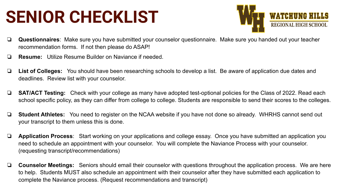## **SENIOR CHECKLIST**



- ❏ **Questionnaires**: Make sure you have submitted your counselor questionnaire. Make sure you handed out your teacher recommendation forms. If not then please do ASAP!
- ❏ **Resume:** Utilize Resume Builder on Naviance if needed.
- ❏ **List of Colleges:** You should have been researching schools to develop a list. Be aware of application due dates and deadlines. Review list with your counselor.
- ❏ **SAT/ACT Testing:** Check with your college as many have adopted test-optional policies for the Class of 2022. Read each school specific policy, as they can differ from college to college. Students are responsible to send their scores to the colleges.
- ❏ **Student Athletes:** You need to register on the NCAA website if you have not done so already. WHRHS cannot send out your transcript to them unless this is done.
- ❏ **Application Process**: Start working on your applications and college essay. Once you have submitted an application you need to schedule an appointment with your counselor. You will complete the Naviance Process with your counselor. (requesting transcript/recommendations)
- ❏ **Counselor Meetings:** Seniors should email their counselor with questions throughout the application process. We are here to help. Students MUST also schedule an appointment with their counselor after they have submitted each application to complete the Naviance process. (Request recommendations and transcript)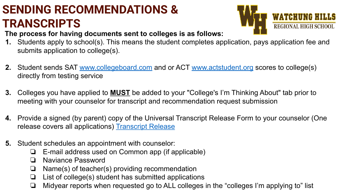### **SENDING RECOMMENDATIONS & TRANSCRIPTS**



**The process for having documents sent to colleges is as follows:** 

- **1.** Students apply to school(s). This means the student completes application, pays application fee and submits application to college(s).
- **2.** Student sends SAT [www.collegeboard.com](http://www.collegeboard.com) and or ACT [www.actstudent.org](http://www.actstudent.org) scores to college(s) directly from testing service
- **3.** Colleges you have applied to **MUST** be added to your "College's I'm Thinking About" tab prior to meeting with your counselor for transcript and recommendation request submission
- **4.** Provide a signed (by parent) copy of the Universal Transcript Release Form to your counselor (One release covers all applications) [Transcript Release](https://www.whrhs.org/uploaded/Guidance/Scheduling_2020-21/Universal_Senior_Transcript_Release_Form_NC.pdf)
- **5.** Student schedules an appointment with counselor:
	- ❏ E-mail address used on Common app (if applicable)
	- ❏ Naviance Password
	- ❏ Name(s) of teacher(s) providing recommendation
	- ❏ List of college(s) student has submitted applications
	- ❏ Midyear reports when requested go to ALL colleges in the "colleges I'm applying to" list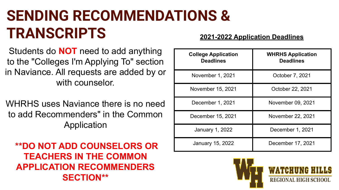### **SENDING RECOMMENDATIONS & TRANSCRIPTS 2021-2022 Application Deadlines**

Students do **NOT** need to add anything to the "Colleges I'm Applying To" section in Naviance. All requests are added by or with counselor.

WHRHS uses Naviance there is no need to add Recommenders" in the Common Application

 **\*\*DO NOT ADD COUNSELORS OR TEACHERS IN THE COMMON APPLICATION RECOMMENDERS SECTION\*\***

| <b>College Application</b><br><b>Deadlines</b> | <b>WHRHS Application</b><br><b>Deadlines</b> |  |
|------------------------------------------------|----------------------------------------------|--|
| November 1, 2021                               | October 7, 2021                              |  |
| November 15, 2021                              | October 22, 2021                             |  |
| December 1, 2021                               | November 09, 2021                            |  |
| December 15, 2021                              | November 22, 2021                            |  |
| January 1, 2022                                | December 1, 2021                             |  |
| January 15, 2022                               | December 17, 2021                            |  |

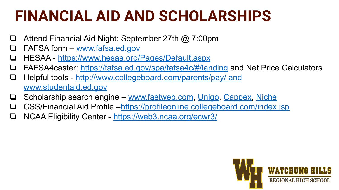### **FINANCIAL AID AND SCHOLARSHIPS**

- Attend Financial Aid Night: September 27th @ 7:00pm
- FAFSA form – [www.fafsa.ed.gov](http://www.fafsa.ed.gov)
- ❏ HESAA <https://www.hesaa.org/Pages/Default.aspx>
- FAFSA4caster: <https://fafsa.ed.gov/spa/fafsa4c/#/landing>and Net Price Calculators
- ❏ Helpful tools [http://www.collegeboard.com/parents/pay/ and](https://studentaid.gov/) [www.studentaid.ed.gov](https://studentaid.gov/)
- ❏ Scholarship search engine – [www.fastweb.com](http://www.fastweb.com), [Unigo](https://www.unigo.com/scholarships/our-scholarships), [Cappex](https://www.cappex.com/scholarships), [Niche](https://www.niche.com/colleges/scholarships/)
- ❏ CSS/Financial Aid Profile –<https://profileonline.collegeboard.com/index.jsp>
- ❏ NCAA Eligibility Center <https://web3.ncaa.org/ecwr3/>

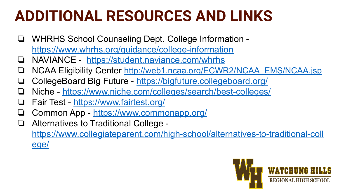### **ADDITIONAL RESOURCES AND LINKS**

- ❏ WHRHS School Counseling Dept. College Information <https://www.whrhs.org/guidance/college-information>
- ❏ NAVIANCE <https://student.naviance.com/whrhs>
- ❏ NCAA Eligibility Center [http://web1.ncaa.org/ECWR2/NCAA\\_EMS/NCAA.jsp](http://web1.ncaa.org/ECWR2/NCAA_EMS/NCAA.jsp)
- ❏ CollegeBoard Big Future -<https://bigfuture.collegeboard.org/>
- ❏ Niche <https://www.niche.com/colleges/search/best-colleges/>
- ❏ Fair Test -<https://www.fairtest.org/>
- ❏ Common App - [https://www.commonapp.org/](https://www.commonapp.org/coronavirus)
- ❏ Alternatives to Traditional College [https://www.collegiateparent.com/high-school/alternatives-to-traditional-coll](https://www.collegiateparent.com/high-school/alternatives-to-traditional-college/) [ege/](https://www.collegiateparent.com/high-school/alternatives-to-traditional-college/)